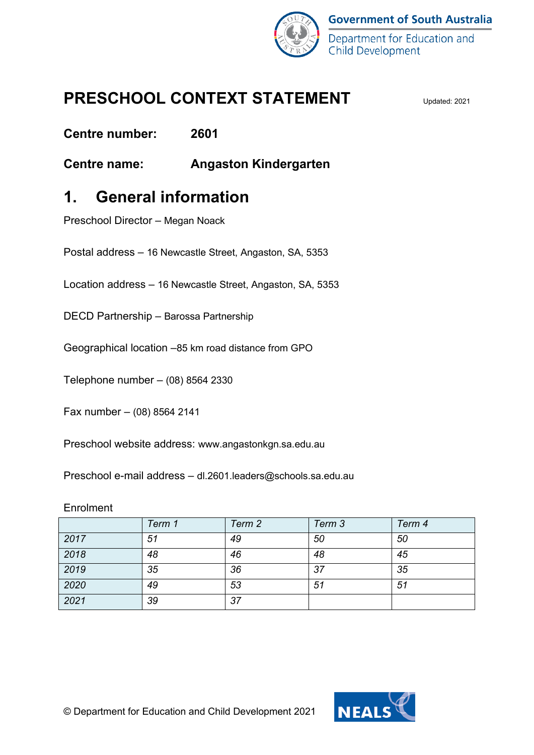

## **PRESCHOOL CONTEXT STATEMENT**

**Centre number: 2601**

**Centre name: Angaston Kindergarten**

## **1. General information**

Preschool Director – Megan Noack

Postal address – 16 Newcastle Street, Angaston, SA, 5353

Location address – 16 Newcastle Street, Angaston, SA, 5353

DECD Partnership – Barossa Partnership

Geographical location –85 km road distance from GPO

Telephone number – (08) 8564 2330

Fax number – (08) 8564 2141

Preschool website address: www.angastonkgn.sa.edu.au

Preschool e-mail address – dl.2601.leaders@schools.sa.edu.au

### Enrolment

|      | Term 1 | Term 2 | Term 3 | Term 4 |
|------|--------|--------|--------|--------|
| 2017 | 51     | 49     | 50     | 50     |
| 2018 | 48     | 46     | 48     | 45     |
| 2019 | 35     | 36     | 37     | 35     |
| 2020 | 49     | 53     | 51     | 51     |
| 2021 | 39     | 37     |        |        |

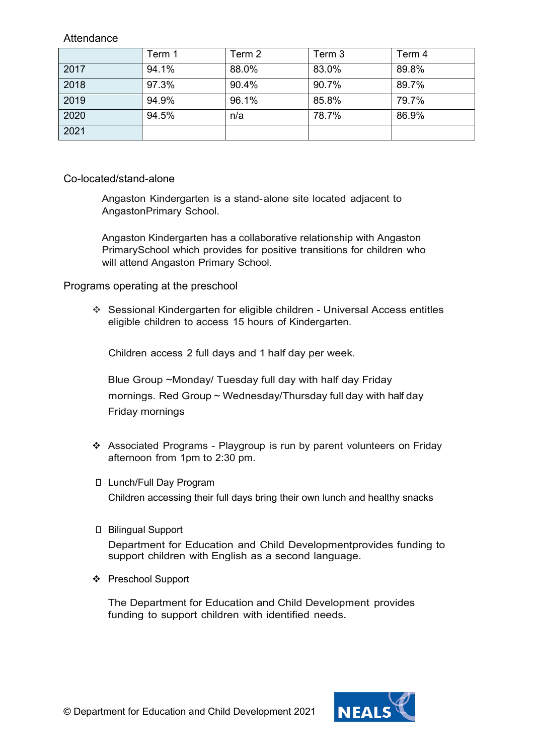**Attendance** 

|      | Term 1 | Term 2 | Term 3 | Term 4 |
|------|--------|--------|--------|--------|
| 2017 | 94.1%  | 88.0%  | 83.0%  | 89.8%  |
| 2018 | 97.3%  | 90.4%  | 90.7%  | 89.7%  |
| 2019 | 94.9%  | 96.1%  | 85.8%  | 79.7%  |
| 2020 | 94.5%  | n/a    | 78.7%  | 86.9%  |
| 2021 |        |        |        |        |

Co-located/stand-alone

Angaston Kindergarten is a stand-alone site located adjacent to AngastonPrimary School.

Angaston Kindergarten has a collaborative relationship with Angaston PrimarySchool which provides for positive transitions for children who will attend Angaston Primary School.

Programs operating at the preschool

 Sessional Kindergarten for eligible children - Universal Access entitles eligible children to access 15 hours of Kindergarten.

Children access 2 full days and 1 half day per week.

Blue Group ~Monday/ Tuesday full day with half day Friday mornings. Red Group ~ Wednesday/Thursday full day with half day Friday mornings

- Associated Programs Playgroup is run by parent volunteers on Friday afternoon from 1pm to 2:30 pm.
- Lunch/Full Day Program Children accessing their full days bring their own lunch and healthy snacks
- □ Bilingual Support

Department for Education and Child Developmentprovides funding to support children with English as a second language.

Preschool Support

The Department for Education and Child Development provides funding to support children with identified needs.

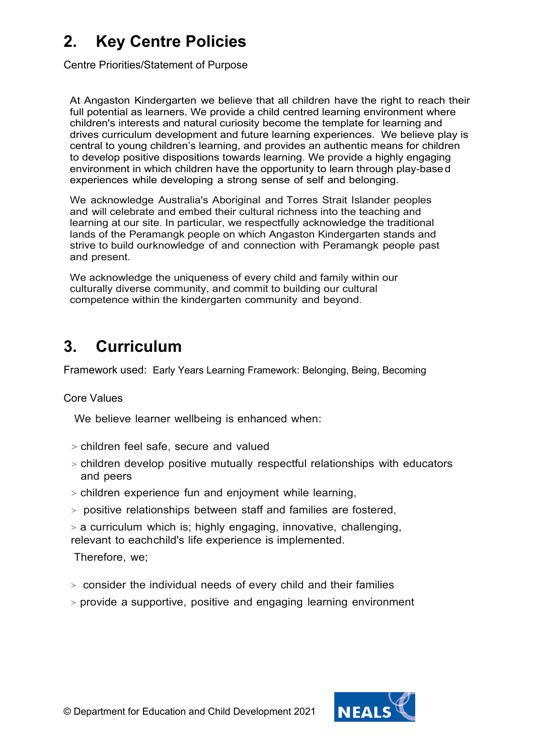## **2. Key Centre Policies**

Centre Priorities/Statement of Purpose

At Angaston Kindergarten we believe that all children have the right to reach their full potential as learners. We provide a child centred learning environment where children's interests and natural curiosity become the template for learning and drives curriculum development and future learning experiences. We believe play is central to young children's learning, and provides an authentic means for children to develop positive dispositions towards learning. We provide a highly engaging environment in which children have the opportunity to learn through play-based experiences while developing a strong sense of self and belonging.

We acknowledge Australia's Aboriginal and Torres Strait Islander peoples and will celebrate and embed their cultural richness into the teaching and learning at our site. In particular, we respectfully acknowledge the traditional lands of the Peramangk people on which Angaston Kindergarten stands and strive to build ourknowledge of and connection with Peramangk people past and present.

We acknowledge the uniqueness of every child and family within our culturally diverse community, and commit to building our cultural competence within the kindergarten community and beyond.

## **3. Curriculum**

Framework used: Early Years Learning Framework: Belonging, Being, Becoming

### Core Values

We believe learner wellbeing is enhanced when:

- > children feel safe, secure and valued
- > children develop positive mutually respectful relationships with educators and peers
- > children experience fun and enjoyment while learning,
- > positive relationships between staff and families are fostered,
- > a curriculum which is; highly engaging, innovative, challenging, relevant to eachchild's life experience is implemented.

Therefore, we;

- > consider the individual needs of every child and their families
- > provide a supportive, positive and engaging learning environment

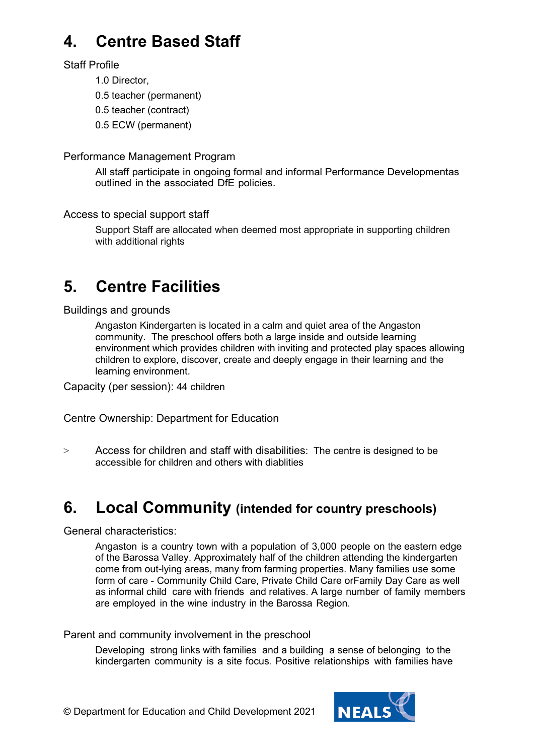## **4. Centre Based Staff**

### Staff Profile

1.0 Director,

0.5 teacher (permanent)

0.5 teacher (contract)

0.5 ECW (permanent)

### Performance Management Program

All staff participate in ongoing formal and informal Performance Developmentas outlined in the associated DfE policies.

Access to special support staff

Support Staff are allocated when deemed most appropriate in supporting children with additional rights

# **5. Centre Facilities**

Buildings and grounds

Angaston Kindergarten is located in a calm and quiet area of the Angaston community. The preschool offers both a large inside and outside learning environment which provides children with inviting and protected play spaces allowing children to explore, discover, create and deeply engage in their learning and the learning environment.

Capacity (per session): 44 children

Centre Ownership: Department for Education

> Access for children and staff with disabilities: The centre is designed to be accessible for children and others with diablities

## **6. Local Community (intended for country preschools)**

General characteristics:

Angaston is a country town with a population of 3,000 people on the eastern edge of the Barossa Valley. Approximately half of the children attending the kindergarten come from out-lying areas, many from farming properties. Many families use some form of care - Community Child Care, Private Child Care orFamily Day Care as well as informal child care with friends and relatives. A large number of family members are employed in the wine industry in the Barossa Region.

Parent and community involvement in the preschool

Developing strong links with families and a building a sense of belonging to the kindergarten community is a site focus. Positive relationships with families have